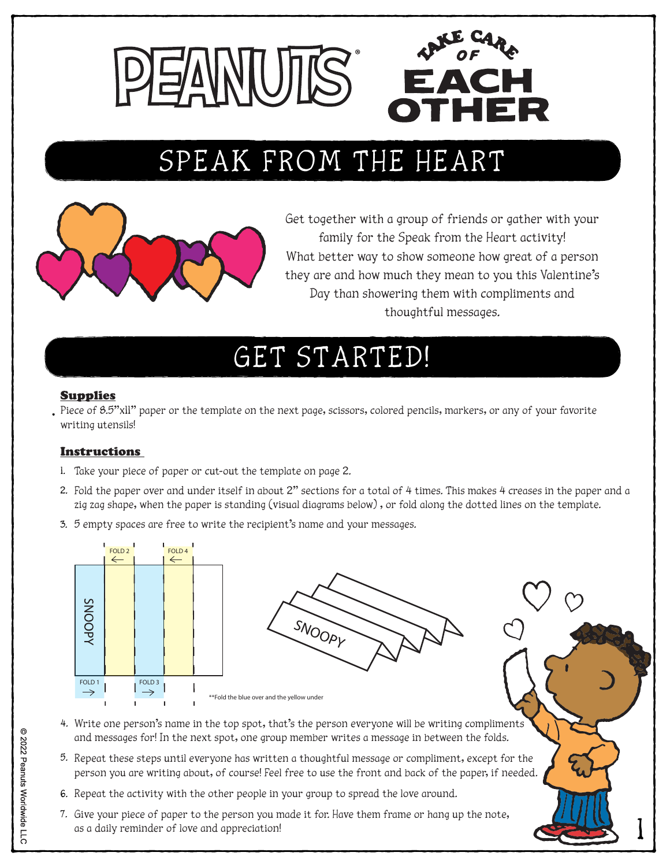

# SPEAK FROM THE HEART SPEAK FROM THE HEART



Get together with a group of friends or gather with your family for the Speak from the Heart activity! What better way to show someone how great of a person they are and how much they mean to you this Valentine's Day than showering them with compliments and thoughtful messages.

1

# GET STARTED!

#### Supplies

Piece of 8.5"xll" paper or the template on the next page, scissors, colored pencils, markers, or any of your favorite writing utensils!

### Instructions

- 1. Take your piece of paper or cut-out the template on page 2.
- 2. Fold the paper over and under itself in about 2" sections for a total of 4 times. This makes 4 creases in the paper and a zig zag shape, when the paper is standing (visual diagrams below) , or fold along the dotted lines on the template.
- 3. 5 empty spaces are free to write the recipient's name and your messages.



- 4. Write one person's name in the top spot, that's the person everyone will be writing compliments and messages for! In the next spot, one group member writes a message in between the folds.
- 5. Repeat these steps until everyone has written a thoughtful message or compliment, except for the person you are writing about, of course! Feel free to use the front and back of the paper, if needed.
- 6. Repeat the activity with the other people in your group to spread the love around.
- 7. Give your piece of paper to the person you made it for. Have them frame or hang up the note, as a daily reminder of love and appreciation!